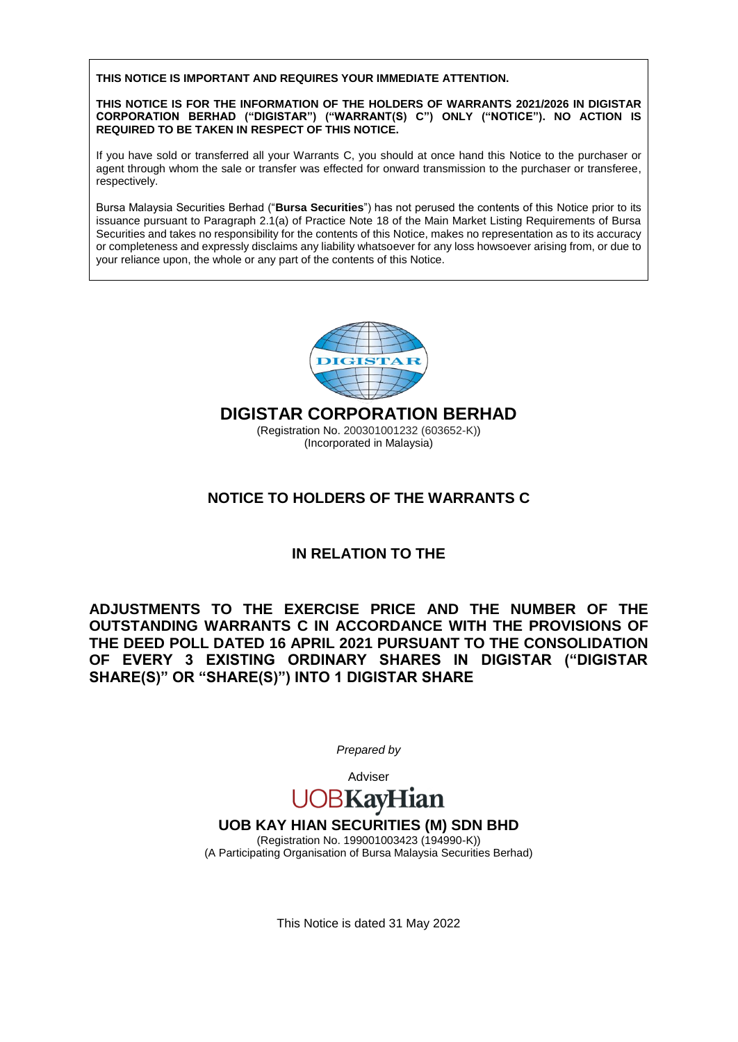**THIS NOTICE IS IMPORTANT AND REQUIRES YOUR IMMEDIATE ATTENTION.**

**THIS NOTICE IS FOR THE INFORMATION OF THE HOLDERS OF WARRANTS 2021/2026 IN DIGISTAR CORPORATION BERHAD ("DIGISTAR") ("WARRANT(S) C") ONLY ("NOTICE"). NO ACTION IS REQUIRED TO BE TAKEN IN RESPECT OF THIS NOTICE.**

If you have sold or transferred all your Warrants C, you should at once hand this Notice to the purchaser or agent through whom the sale or transfer was effected for onward transmission to the purchaser or transferee, respectively.

Bursa Malaysia Securities Berhad ("**Bursa Securities**") has not perused the contents of this Notice prior to its issuance pursuant to Paragraph 2.1(a) of Practice Note 18 of the Main Market Listing Requirements of Bursa Securities and takes no responsibility for the contents of this Notice, makes no representation as to its accuracy or completeness and expressly disclaims any liability whatsoever for any loss howsoever arising from, or due to your reliance upon, the whole or any part of the contents of this Notice.



**DIGISTAR CORPORATION BERHAD**

(Registration No. 200301001232 (603652-K)) (Incorporated in Malaysia)

# **NOTICE TO HOLDERS OF THE WARRANTS C**

# **IN RELATION TO THE**

**ADJUSTMENTS TO THE EXERCISE PRICE AND THE NUMBER OF THE OUTSTANDING WARRANTS C IN ACCORDANCE WITH THE PROVISIONS OF THE DEED POLL DATED 16 APRIL 2021 PURSUANT TO THE CONSOLIDATION OF EVERY 3 EXISTING ORDINARY SHARES IN DIGISTAR ("DIGISTAR SHARE(S)" OR "SHARE(S)") INTO 1 DIGISTAR SHARE** 

*Prepared by*

# Adviser UOBKayHian

# **UOB KAY HIAN SECURITIES (M) SDN BHD**

(Registration No. 199001003423 (194990-K)) (A Participating Organisation of Bursa Malaysia Securities Berhad)

This Notice is dated 31 May 2022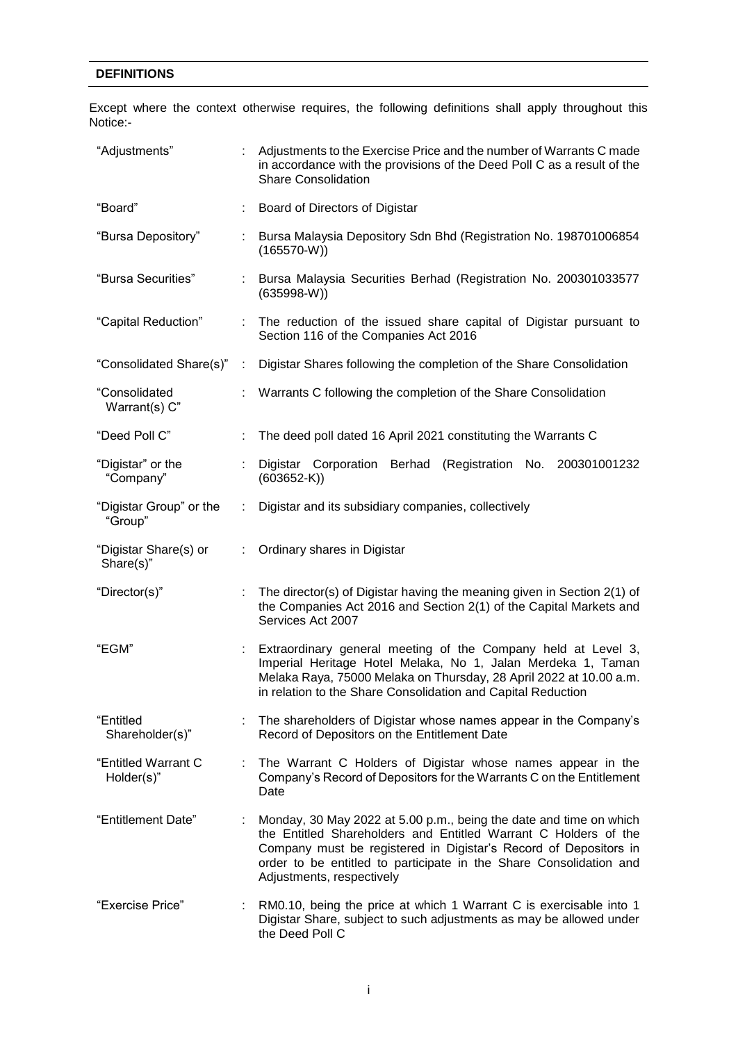### **DEFINITIONS**

Except where the context otherwise requires, the following definitions shall apply throughout this Notice:-

| "Adjustments"                      | : Adjustments to the Exercise Price and the number of Warrants C made<br>in accordance with the provisions of the Deed Poll C as a result of the<br><b>Share Consolidation</b>                                                                                                                               |  |  |  |  |  |
|------------------------------------|--------------------------------------------------------------------------------------------------------------------------------------------------------------------------------------------------------------------------------------------------------------------------------------------------------------|--|--|--|--|--|
| "Board"                            | Board of Directors of Digistar                                                                                                                                                                                                                                                                               |  |  |  |  |  |
| "Bursa Depository"                 | Bursa Malaysia Depository Sdn Bhd (Registration No. 198701006854<br>$(165570-W))$                                                                                                                                                                                                                            |  |  |  |  |  |
| "Bursa Securities"                 | Bursa Malaysia Securities Berhad (Registration No. 200301033577<br>$(635998-W)$                                                                                                                                                                                                                              |  |  |  |  |  |
| "Capital Reduction"                | : The reduction of the issued share capital of Digistar pursuant to<br>Section 116 of the Companies Act 2016                                                                                                                                                                                                 |  |  |  |  |  |
| "Consolidated Share(s)":           | Digistar Shares following the completion of the Share Consolidation                                                                                                                                                                                                                                          |  |  |  |  |  |
| "Consolidated<br>Warrant(s) C"     | Warrants C following the completion of the Share Consolidation                                                                                                                                                                                                                                               |  |  |  |  |  |
| "Deed Poll C"                      | The deed poll dated 16 April 2021 constituting the Warrants C                                                                                                                                                                                                                                                |  |  |  |  |  |
| "Digistar" or the<br>"Company"     | Digistar Corporation Berhad (Registration No. 200301001232<br>$(603652-K)$                                                                                                                                                                                                                                   |  |  |  |  |  |
| "Digistar Group" or the<br>"Group" | Digistar and its subsidiary companies, collectively                                                                                                                                                                                                                                                          |  |  |  |  |  |
| "Digistar Share(s) or<br>Share(s)" | Ordinary shares in Digistar                                                                                                                                                                                                                                                                                  |  |  |  |  |  |
| "Director(s)"                      | The director(s) of Digistar having the meaning given in Section 2(1) of<br>the Companies Act 2016 and Section 2(1) of the Capital Markets and<br>Services Act 2007                                                                                                                                           |  |  |  |  |  |
| "EGM"                              | Extraordinary general meeting of the Company held at Level 3,<br>Imperial Heritage Hotel Melaka, No 1, Jalan Merdeka 1, Taman<br>Melaka Raya, 75000 Melaka on Thursday, 28 April 2022 at 10.00 a.m.<br>in relation to the Share Consolidation and Capital Reduction                                          |  |  |  |  |  |
| "Entitled<br>Shareholder(s)"       | The shareholders of Digistar whose names appear in the Company's<br>Record of Depositors on the Entitlement Date                                                                                                                                                                                             |  |  |  |  |  |
| "Entitled Warrant C<br>Holder(s)"  | The Warrant C Holders of Digistar whose names appear in the<br>Company's Record of Depositors for the Warrants C on the Entitlement<br>Date                                                                                                                                                                  |  |  |  |  |  |
| "Entitlement Date"                 | Monday, 30 May 2022 at 5.00 p.m., being the date and time on which<br>the Entitled Shareholders and Entitled Warrant C Holders of the<br>Company must be registered in Digistar's Record of Depositors in<br>order to be entitled to participate in the Share Consolidation and<br>Adjustments, respectively |  |  |  |  |  |
| "Exercise Price"                   | RM0.10, being the price at which 1 Warrant C is exercisable into 1<br>Digistar Share, subject to such adjustments as may be allowed under<br>the Deed Poll C                                                                                                                                                 |  |  |  |  |  |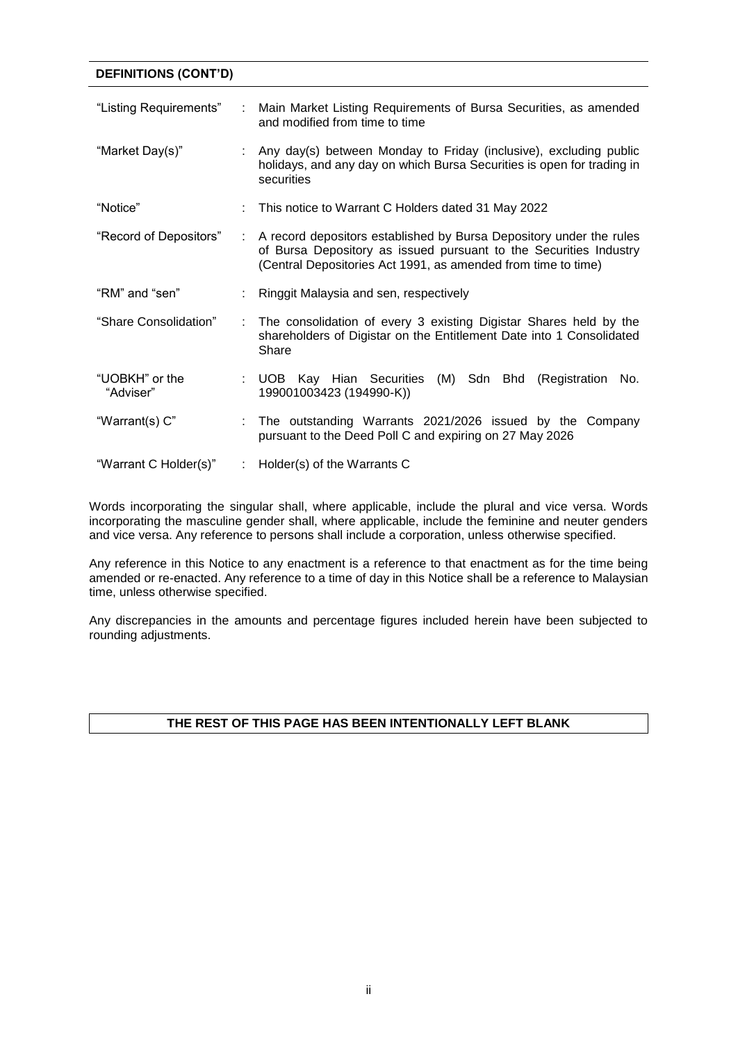### **DEFINITIONS (CONT'D)**

| "Listing Requirements"      | : Main Market Listing Requirements of Bursa Securities, as amended<br>and modified from time to time                                                                                                        |  |  |  |  |
|-----------------------------|-------------------------------------------------------------------------------------------------------------------------------------------------------------------------------------------------------------|--|--|--|--|
| "Market Day(s)"             | : Any day(s) between Monday to Friday (inclusive), excluding public<br>holidays, and any day on which Bursa Securities is open for trading in<br>securities                                                 |  |  |  |  |
| "Notice"                    | This notice to Warrant C Holders dated 31 May 2022                                                                                                                                                          |  |  |  |  |
| "Record of Depositors"      | : A record depositors established by Bursa Depository under the rules<br>of Bursa Depository as issued pursuant to the Securities Industry<br>(Central Depositories Act 1991, as amended from time to time) |  |  |  |  |
| "RM" and "sen"              | Ringgit Malaysia and sen, respectively                                                                                                                                                                      |  |  |  |  |
| "Share Consolidation"       | : The consolidation of every 3 existing Digistar Shares held by the<br>shareholders of Digistar on the Entitlement Date into 1 Consolidated<br>Share                                                        |  |  |  |  |
| "UOBKH" or the<br>"Adviser" | : UOB Kay Hian Securities<br>(M) Sdn Bhd (Registration<br>No.<br>199001003423 (194990-K))                                                                                                                   |  |  |  |  |
| "Warrant(s) C"              | : The outstanding Warrants 2021/2026 issued by the Company<br>pursuant to the Deed Poll C and expiring on 27 May 2026                                                                                       |  |  |  |  |
| "Warrant C Holder(s)"       | : Holder(s) of the Warrants $C$                                                                                                                                                                             |  |  |  |  |

Words incorporating the singular shall, where applicable, include the plural and vice versa. Words incorporating the masculine gender shall, where applicable, include the feminine and neuter genders and vice versa. Any reference to persons shall include a corporation, unless otherwise specified.

Any reference in this Notice to any enactment is a reference to that enactment as for the time being amended or re-enacted. Any reference to a time of day in this Notice shall be a reference to Malaysian time, unless otherwise specified.

Any discrepancies in the amounts and percentage figures included herein have been subjected to rounding adjustments.

### **THE REST OF THIS PAGE HAS BEEN INTENTIONALLY LEFT BLANK**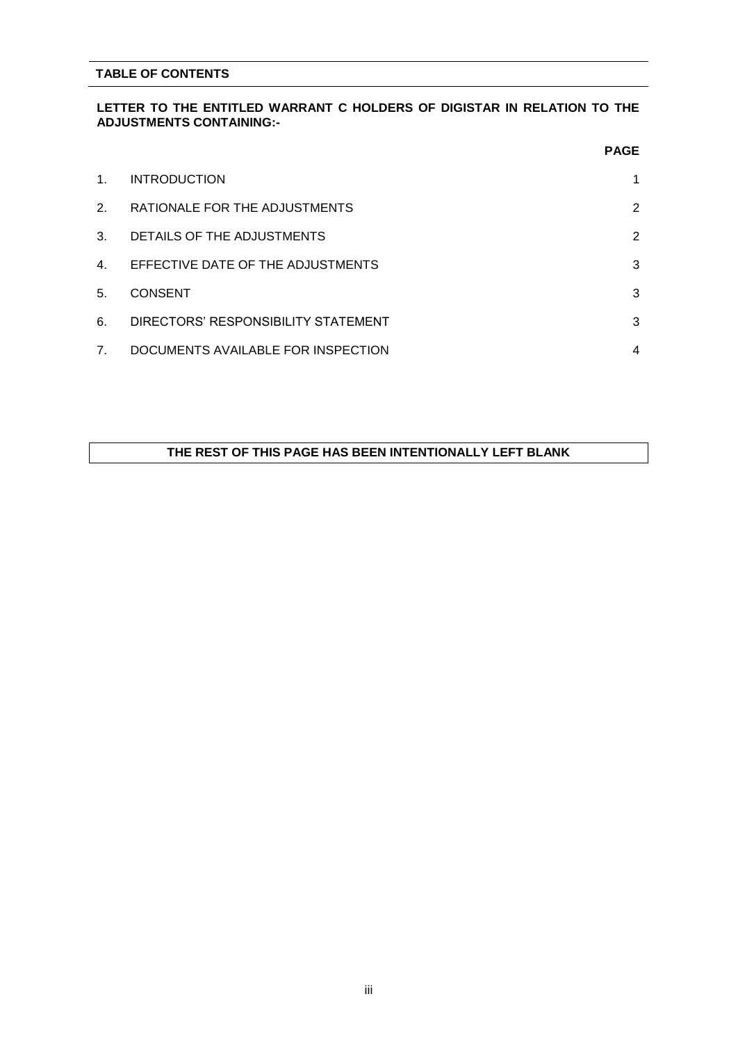#### **TABLE OF CONTENTS**

#### **LETTER TO THE ENTITLED WARRANT C HOLDERS OF DIGISTAR IN RELATION TO THE ADJUSTMENTS CONTAINING:-**

|         |                                     | <b>PAGE</b>    |
|---------|-------------------------------------|----------------|
| $1_{-}$ | <b>INTRODUCTION</b>                 | 1              |
| 2.      | RATIONALE FOR THE ADJUSTMENTS       | $\overline{2}$ |
| 3.      | DETAILS OF THE ADJUSTMENTS          | $\overline{2}$ |
| 4.      | EFFECTIVE DATE OF THE ADJUSTMENTS   | 3              |
| 5.      | <b>CONSENT</b>                      | 3              |
| 6.      | DIRECTORS' RESPONSIBILITY STATEMENT | 3              |
| 7.      | DOCUMENTS AVAILABLE FOR INSPECTION  | 4              |

### **THE REST OF THIS PAGE HAS BEEN INTENTIONALLY LEFT BLANK**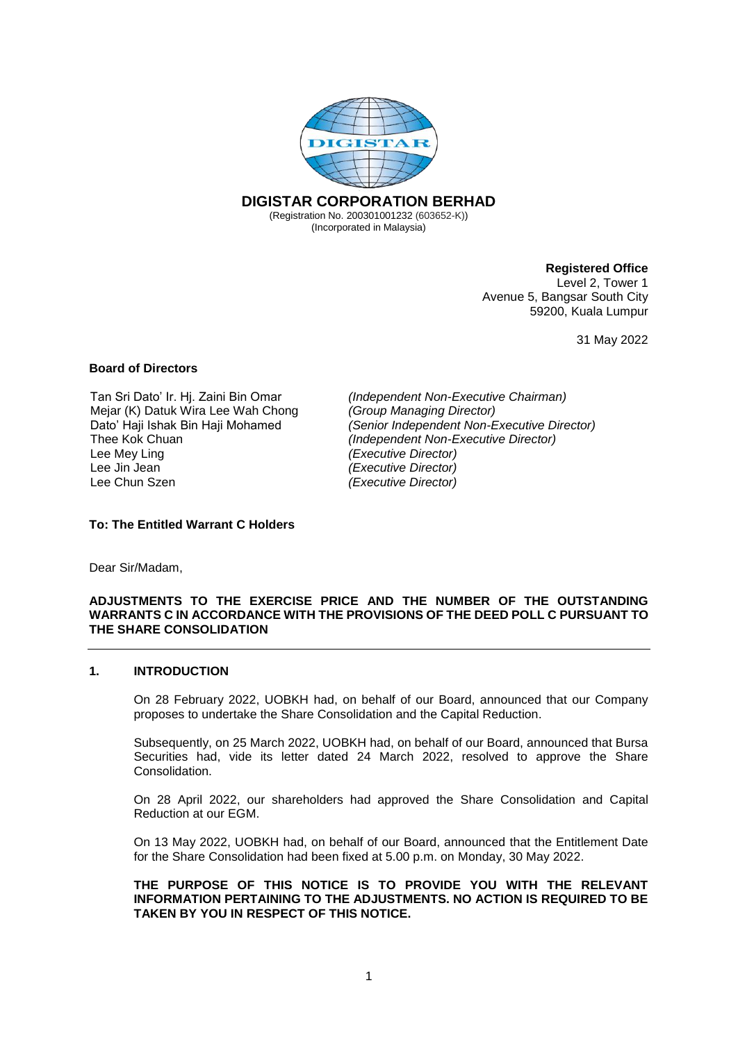

#### **Registered Office**

Level 2, Tower 1 Avenue 5, Bangsar South City 59200, Kuala Lumpur

31 May 2022

#### **Board of Directors**

Tan Sri Dato' Ir. Hj. Zaini Bin Omar *(Independent Non-Executive Chairman)* Mejar (K) Datuk Wira Lee Wah Chong *(Group Managing Director)* Lee Mey Ling<br>
Lee Jin Jean<br> *Lee Jin Jean (Executive Director) (Executive Director)* Lee Jin Jean *(Executive Director)*

Dato' Haji Ishak Bin Haji Mohamed *(Senior Independent Non-Executive Director) (Independent Non-Executive Director)* Lee Chun Szen *(Executive Director)*

#### **To: The Entitled Warrant C Holders**

Dear Sir/Madam,

#### **ADJUSTMENTS TO THE EXERCISE PRICE AND THE NUMBER OF THE OUTSTANDING WARRANTS C IN ACCORDANCE WITH THE PROVISIONS OF THE DEED POLL C PURSUANT TO THE SHARE CONSOLIDATION**

#### **1. INTRODUCTION**

On 28 February 2022, UOBKH had, on behalf of our Board, announced that our Company proposes to undertake the Share Consolidation and the Capital Reduction.

Subsequently, on 25 March 2022, UOBKH had, on behalf of our Board, announced that Bursa Securities had, vide its letter dated 24 March 2022, resolved to approve the Share Consolidation.

On 28 April 2022, our shareholders had approved the Share Consolidation and Capital Reduction at our EGM.

On 13 May 2022, UOBKH had, on behalf of our Board, announced that the Entitlement Date for the Share Consolidation had been fixed at 5.00 p.m. on Monday, 30 May 2022.

**THE PURPOSE OF THIS NOTICE IS TO PROVIDE YOU WITH THE RELEVANT INFORMATION PERTAINING TO THE ADJUSTMENTS. NO ACTION IS REQUIRED TO BE TAKEN BY YOU IN RESPECT OF THIS NOTICE.**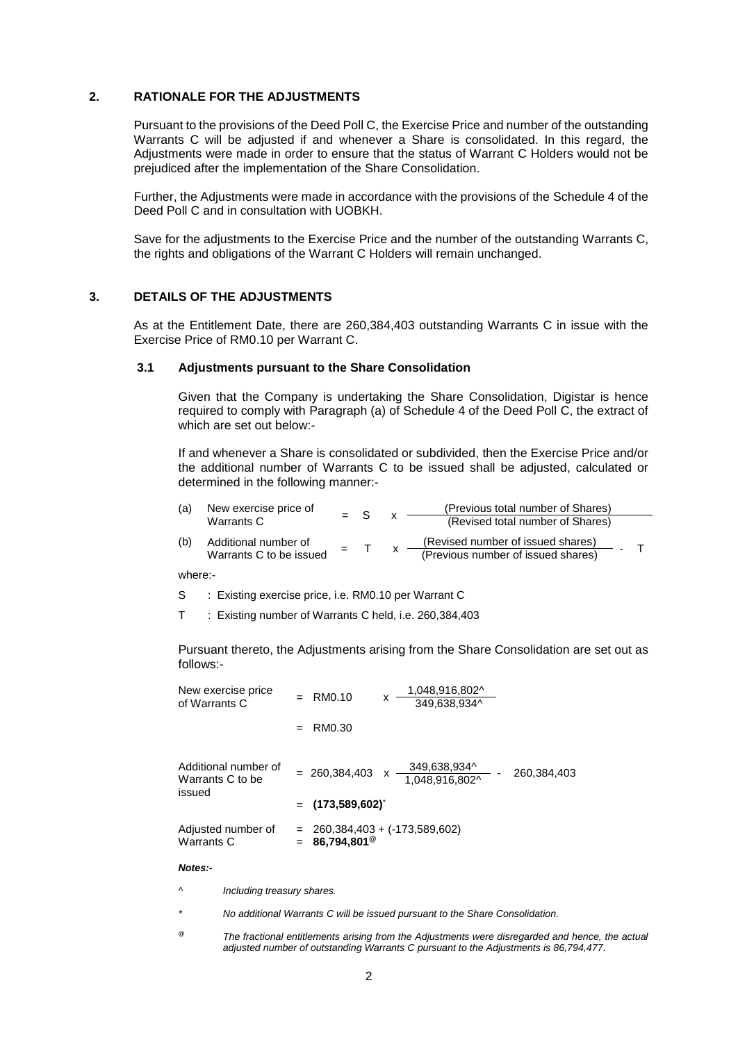#### **2. RATIONALE FOR THE ADJUSTMENTS**

Pursuant to the provisions of the Deed Poll C, the Exercise Price and number of the outstanding Warrants C will be adjusted if and whenever a Share is consolidated. In this regard, the Adjustments were made in order to ensure that the status of Warrant C Holders would not be prejudiced after the implementation of the Share Consolidation.

Further, the Adjustments were made in accordance with the provisions of the Schedule 4 of the Deed Poll C and in consultation with UOBKH.

Save for the adjustments to the Exercise Price and the number of the outstanding Warrants C, the rights and obligations of the Warrant C Holders will remain unchanged.

#### **3. DETAILS OF THE ADJUSTMENTS**

As at the Entitlement Date, there are 260,384,403 outstanding Warrants C in issue with the Exercise Price of RM0.10 per Warrant C.

#### **3.1 Adjustments pursuant to the Share Consolidation**

Given that the Company is undertaking the Share Consolidation, Digistar is hence required to comply with Paragraph (a) of Schedule 4 of the Deed Poll C, the extract of which are set out below:-

If and whenever a Share is consolidated or subdivided, then the Exercise Price and/or the additional number of Warrants C to be issued shall be adjusted, calculated or determined in the following manner:-

| (a)        | New exercise price of |  | $=$ S |  | (Previous total number of Shares)          |  |  |
|------------|-----------------------|--|-------|--|--------------------------------------------|--|--|
|            | Warrants C            |  |       |  | (Revised total number of Shares)           |  |  |
| $\sqrt{2}$ | Additional purpose of |  |       |  | $(Douinad number of ionized observations)$ |  |  |

(b) Additional number of  $\frac{1}{2}$  Marrants C to be issued  $\frac{1}{2}$  T x (Revised number of issued shares) - - - T (Previous number of issued shares)

where:-

S : Existing exercise price, i.e. RM0.10 per Warrant C

T : Existing number of Warrants C held, i.e. 260,384,403

Pursuant thereto, the Adjustments arising from the Share Consolidation are set out as follows:-

| New exercise price<br>of Warrants C                | RM0.10                                                  | x | 1,048,916,802^<br>349.638.934^ |  |             |  |
|----------------------------------------------------|---------------------------------------------------------|---|--------------------------------|--|-------------|--|
|                                                    | RM0.30                                                  |   |                                |  |             |  |
| Additional number of<br>Warrants C to be<br>issued | $= 260.384.403$                                         |   | 349,638,934^<br>1.048.916.802^ |  | 260.384.403 |  |
|                                                    | $=$ (173,589,602) <sup>*</sup>                          |   |                                |  |             |  |
| Adjusted number of<br>Warrants C                   | 260,384,403 + (-173,589,602)<br>86,794,801 <sup>@</sup> |   |                                |  |             |  |

#### *Notes:-*

*^ Including treasury shares.*

*\* No additional Warrants C will be issued pursuant to the Share Consolidation.*

*@ The fractional entitlements arising from the Adjustments were disregarded and hence, the actual adjusted number of outstanding Warrants C pursuant to the Adjustments is 86,794,477.*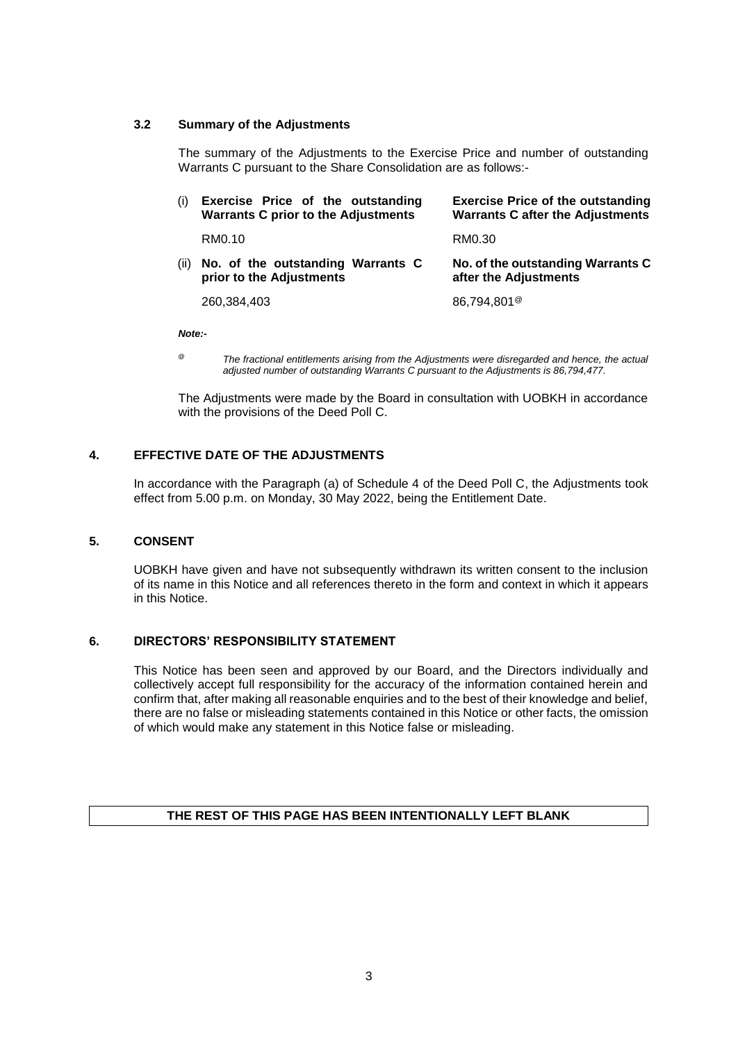#### **3.2 Summary of the Adjustments**

The summary of the Adjustments to the Exercise Price and number of outstanding Warrants C pursuant to the Share Consolidation are as follows:-

| (i)  | Exercise Price of the outstanding<br><b>Warrants C prior to the Adjustments</b> | <b>Exercise Price of the outstanding</b><br><b>Warrants C after the Adjustments</b> |
|------|---------------------------------------------------------------------------------|-------------------------------------------------------------------------------------|
|      | RM0.10                                                                          | RM0.30                                                                              |
| (ii) | No. of the outstanding Warrants C<br>prior to the Adjustments                   | No. of the outstanding Warrants C<br>after the Adjustments                          |
|      | 260,384,403                                                                     | 86,794,801 <sup>@</sup>                                                             |

*Note:-*

*@ The fractional entitlements arising from the Adjustments were disregarded and hence, the actual adjusted number of outstanding Warrants C pursuant to the Adjustments is 86,794,477.*

The Adjustments were made by the Board in consultation with UOBKH in accordance with the provisions of the Deed Poll C.

## **4. EFFECTIVE DATE OF THE ADJUSTMENTS**

In accordance with the Paragraph (a) of Schedule 4 of the Deed Poll C, the Adjustments took effect from 5.00 p.m. on Monday, 30 May 2022, being the Entitlement Date.

### **5. CONSENT**

UOBKH have given and have not subsequently withdrawn its written consent to the inclusion of its name in this Notice and all references thereto in the form and context in which it appears in this Notice.

### **6. DIRECTORS' RESPONSIBILITY STATEMENT**

This Notice has been seen and approved by our Board, and the Directors individually and collectively accept full responsibility for the accuracy of the information contained herein and confirm that, after making all reasonable enquiries and to the best of their knowledge and belief, there are no false or misleading statements contained in this Notice or other facts, the omission of which would make any statement in this Notice false or misleading.

### **THE REST OF THIS PAGE HAS BEEN INTENTIONALLY LEFT BLANK**